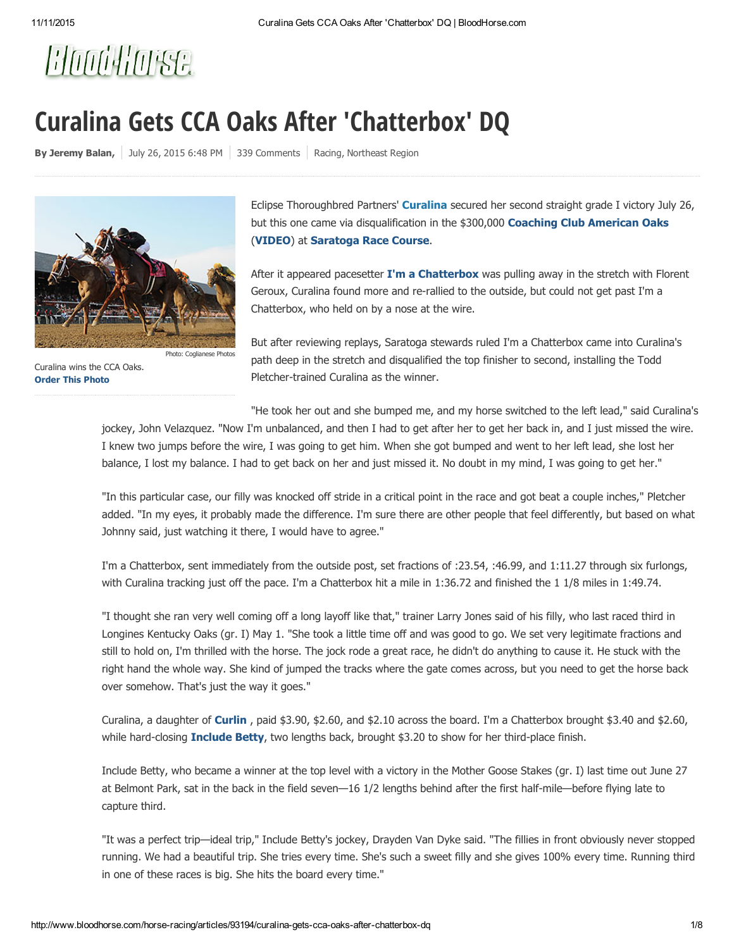# Blood Horse

## Curalina Gets CCA Oaks After 'Chatterbox' DQ

By [Jeremy](http://www.bloodhorse.com/horse-racing/articles/author/jeremy-balan) Balan,  $\vert$  July 26, [2015](http://www.bloodhorse.com/horse-racing/articles/date/2015/7/26) 6:48 PM  $\vert$  339 Comments  $\vert$  [Racing](http://www.bloodhorse.com/horse-racing/articles/section/thoroughbred-racing), [Northeast](http://www.bloodhorse.com/horse-racing/articles/section/northeast) Region



Curalina wins the CCA Oaks. [Order](http://photos.bloodhorse.com/AtTheRaces-1/At-the-Races-2015/i-jLmWV36) This Photo

Eclipse Thoroughbred Partners' **[Curalina](http://www.bloodhorse.com/horse-racing/thoroughbred/curalina/2012?source=BHonline)** secured her second straight grade I victory July 26, but this one came via disqualification in the \$300,000 Coaching Club [American](http://www.bloodhorse.com/horse-racing/race/USA/SAR/2015/7/26/10/coaching-club-american-oaks-gr-i) Oaks ([VIDEO\)](javascript:showVideo() at [Saratoga](http://www.bloodhorse.com/horse-racing/racetracks/24/saratoga-race-course) Race Course.

After it appeared pacesetter  $\Gamma$ 'm a [Chatterbox](http://www.bloodhorse.com/horse-racing/thoroughbred/im-a-chatterbox/2012?source=BHonline) was pulling away in the stretch with Florent Geroux, Curalina found more and re-rallied to the outside, but could not get past I'm a Chatterbox, who held on by a nose at the wire.

But after reviewing replays, Saratoga stewards ruled I'm a Chatterbox came into Curalina's path deep in the stretch and disqualified the top finisher to second, installing the Todd Pletcher-trained Curalina as the winner.

"He took her out and she bumped me, and my horse switched to the left lead," said Curalina's

jockey, John Velazquez. "Now I'm unbalanced, and then I had to get after her to get her back in, and I just missed the wire. I knew two jumps before the wire, I was going to get him. When she got bumped and went to her left lead, she lost her balance, I lost my balance. I had to get back on her and just missed it. No doubt in my mind, I was going to get her."

"In this particular case, our filly was knocked off stride in a critical point in the race and got beat a couple inches," Pletcher added. "In my eyes, it probably made the difference. I'm sure there are other people that feel differently, but based on what Johnny said, just watching it there, I would have to agree."

I'm a Chatterbox, sent immediately from the outside post, set fractions of :23.54, :46.99, and 1:11.27 through six furlongs, with Curalina tracking just off the pace. I'm a Chatterbox hit a mile in 1:36.72 and finished the 1 1/8 miles in 1:49.74.

"I thought she ran very well coming off a long layoff like that," trainer Larry Jones said of his filly, who last raced third in Longines Kentucky Oaks (gr. I) May 1. "She took a little time off and was good to go. We set very legitimate fractions and still to hold on, I'm thrilled with the horse. The jock rode a great race, he didn't do anything to cause it. He stuck with the right hand the whole way. She kind of jumped the tracks where the gate comes across, but you need to get the horse back over somehow. That's just the way it goes."

Curalina, a daughter of **[Curlin](http://www.bloodhorse.com/stallion-register/stallions/127542)**, paid  $$3.90, $2.60$ , and  $$2.10$  across the board. I'm a Chatterbox brought  $$3.40$  and  $$2.60$ , while hard-closing [Include](http://www.bloodhorse.com/horse-racing/thoroughbred/include-betty/2012?source=BHonline) Betty, two lengths back, brought \$3.20 to show for her third-place finish.

Include Betty, who became a winner at the top level with a victory in the Mother Goose Stakes (gr. I) last time out June 27 at Belmont Park, sat in the back in the field seven—16 1/2 lengths behind after the first half-mile—before flying late to capture third.

"It was a perfect trip—ideal trip," Include Betty's jockey, Drayden Van Dyke said. "The fillies in front obviously never stopped running. We had a beautiful trip. She tries every time. She's such a sweet filly and she gives 100% every time. Running third in one of these races is big. She hits the board every time."